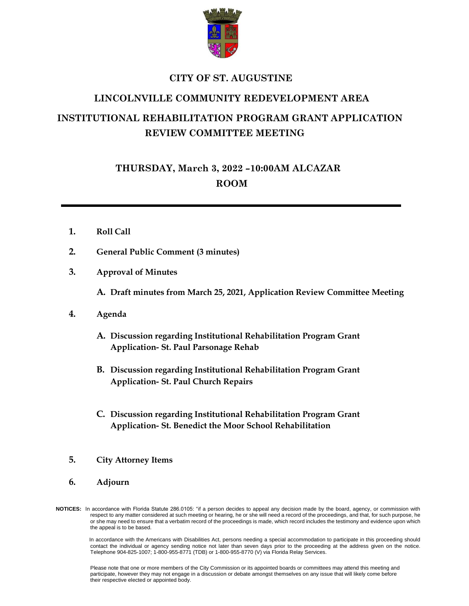

## **CITY OF ST. AUGUSTINE**

# **LINCOLNVILLE COMMUNITY REDEVELOPMENT AREA**

# **INSTITUTIONAL REHABILITATION PROGRAM GRANT APPLICATION REVIEW COMMITTEE MEETING**

**THURSDAY, March 3, 2022 –10:00AM ALCAZAR ROOM**

- **1. Roll Call**
- **2. General Public Comment (3 minutes)**
- **3. Approval of Minutes**

**A. Draft minutes from March 25, 2021, Application Review Committee Meeting**

- **4. Agenda**
	- **A. Discussion regarding Institutional Rehabilitation Program Grant Application- St. Paul Parsonage Rehab**
	- **B. Discussion regarding Institutional Rehabilitation Program Grant Application- St. Paul Church Repairs**
	- **C. Discussion regarding Institutional Rehabilitation Program Grant Application- St. Benedict the Moor School Rehabilitation**
- **5. City Attorney Items**
- **6. Adjourn**
- **NOTICES:** In accordance with Florida Statute 286.0105: "if a person decides to appeal any decision made by the board, agency, or commission with respect to any matter considered at such meeting or hearing, he or she will need a record of the proceedings, and that, for such purpose, he or she may need to ensure that a verbatim record of the proceedings is made, which record includes the testimony and evidence upon which the appeal is to be based.

 In accordance with the Americans with Disabilities Act, persons needing a special accommodation to participate in this proceeding should contact the individual or agency sending notice not later than seven days prior to the proceeding at the address given on the notice. Telephone 904-825-1007; 1-800-955-8771 (TDB) or 1-800-955-8770 (V) via Florida Relay Services.

Please note that one or more members of the City Commission or its appointed boards or committees may attend this meeting and participate, however they may not engage in a discussion or debate amongst themselves on any issue that will likely come before their respective elected or appointed body.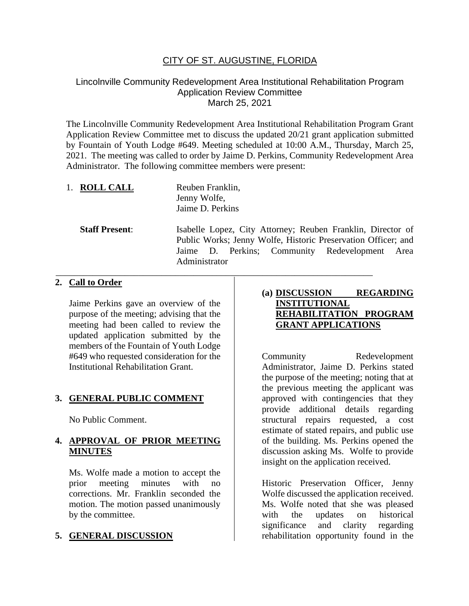## CITY OF ST. AUGUSTINE, FLORIDA

#### Lincolnville Community Redevelopment Area Institutional Rehabilitation Program Application Review Committee March 25, 2021

The Lincolnville Community Redevelopment Area Institutional Rehabilitation Program Grant Application Review Committee met to discuss the updated 20/21 grant application submitted by Fountain of Youth Lodge #649. Meeting scheduled at 10:00 A.M., Thursday, March 25, 2021. The meeting was called to order by Jaime D. Perkins, Community Redevelopment Area Administrator. The following committee members were present:

1. **ROLL CALL** Reuben Franklin, Jenny Wolfe, Jaime D. Perkins

**Staff Present**: Isabelle Lopez, City Attorney; Reuben Franklin, Director of Public Works; Jenny Wolfe, Historic Preservation Officer; and Jaime D. Perkins; Community Redevelopment Area Administrator

\_\_\_\_\_\_\_\_\_\_\_\_\_\_\_\_\_\_\_\_\_\_\_\_\_\_\_\_\_\_\_\_\_\_\_\_\_\_\_\_\_\_\_\_\_\_\_\_\_\_\_\_\_\_\_\_\_\_\_\_\_\_\_\_\_\_\_\_\_

#### **2. Call to Order**

Jaime Perkins gave an overview of the purpose of the meeting; advising that the meeting had been called to review the updated application submitted by the members of the Fountain of Youth Lodge #649 who requested consideration for the Institutional Rehabilitation Grant.

#### **3. GENERAL PUBLIC COMMENT**

No Public Comment.

#### **4. APPROVAL OF PRIOR MEETING MINUTES**

Ms. Wolfe made a motion to accept the prior meeting minutes with no corrections. Mr. Franklin seconded the motion. The motion passed unanimously by the committee.

#### **5. GENERAL DISCUSSION**

#### **(a) DISCUSSION REGARDING INSTITUTIONAL REHABILITATION PROGRAM GRANT APPLICATIONS**

Community Redevelopment Administrator, Jaime D. Perkins stated the purpose of the meeting; noting that at the previous meeting the applicant was approved with contingencies that they provide additional details regarding structural repairs requested, a cost estimate of stated repairs, and public use of the building. Ms. Perkins opened the discussion asking Ms. Wolfe to provide insight on the application received.

Historic Preservation Officer, Jenny Wolfe discussed the application received. Ms. Wolfe noted that she was pleased with the updates on historical significance and clarity regarding rehabilitation opportunity found in the